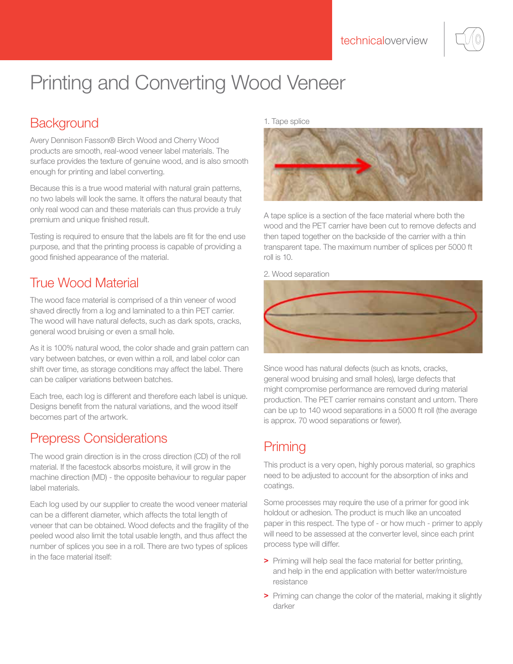

# Printing and Converting Wood Veneer

# **Background**

Avery Dennison Fasson® Birch Wood and Cherry Wood products are smooth, real-wood veneer label materials. The surface provides the texture of genuine wood, and is also smooth enough for printing and label converting.

Because this is a true wood material with natural grain patterns, no two labels will look the same. It offers the natural beauty that only real wood can and these materials can thus provide a truly premium and unique finished result.

Testing is required to ensure that the labels are fit for the end use purpose, and that the printing process is capable of providing a good finished appearance of the material.

## True Wood Material

The wood face material is comprised of a thin veneer of wood shaved directly from a log and laminated to a thin PET carrier. The wood will have natural defects, such as dark spots, cracks, general wood bruising or even a small hole.

As it is 100% natural wood, the color shade and grain pattern can vary between batches, or even within a roll, and label color can shift over time, as storage conditions may affect the label. There can be caliper variations between batches.

Each tree, each log is different and therefore each label is unique. Designs benefit from the natural variations, and the wood itself becomes part of the artwork.

#### Prepress Considerations

The wood grain direction is in the cross direction (CD) of the roll material. If the facestock absorbs moisture, it will grow in the machine direction (MD) - the opposite behaviour to regular paper label materials.

Each log used by our supplier to create the wood veneer material can be a different diameter, which affects the total length of veneer that can be obtained. Wood defects and the fragility of the peeled wood also limit the total usable length, and thus affect the number of splices you see in a roll. There are two types of splices in the face material itself:

1. Tape splice



A tape splice is a section of the face material where both the wood and the PET carrier have been cut to remove defects and then taped together on the backside of the carrier with a thin transparent tape. The maximum number of splices per 5000 ft roll is 10.

2. Wood separation



Since wood has natural defects (such as knots, cracks, general wood bruising and small holes), large defects that might compromise performance are removed during material production. The PET carrier remains constant and untorn. There can be up to 140 wood separations in a 5000 ft roll (the average is approx. 70 wood separations or fewer).

# **Priming**

This product is a very open, highly porous material, so graphics need to be adjusted to account for the absorption of inks and coatings.

Some processes may require the use of a primer for good ink holdout or adhesion. The product is much like an uncoated paper in this respect. The type of - or how much - primer to apply will need to be assessed at the converter level, since each print process type will differ.

- > Priming will help seal the face material for better printing, and help in the end application with better water/moisture resistance
- > Priming can change the color of the material, making it slightly darker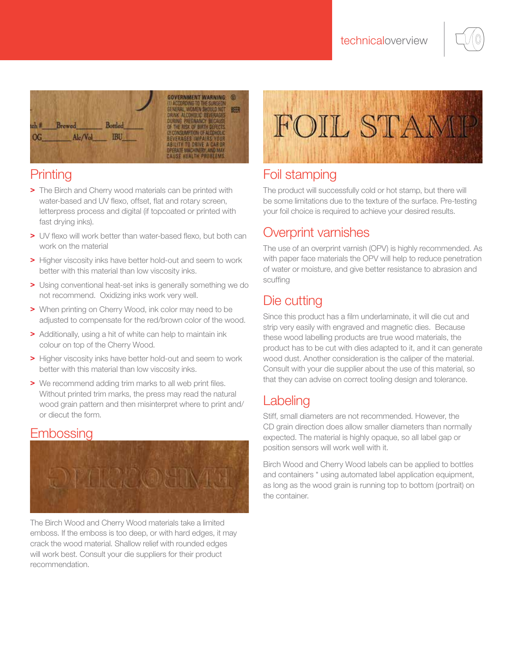



## **Printing**

- > The Birch and Cherry wood materials can be printed with water-based and UV flexo, offset, flat and rotary screen, letterpress process and digital (if topcoated or printed with fast drying inks).
- > UV flexo will work better than water-based flexo, but both can work on the material
- > Higher viscosity inks have better hold-out and seem to work better with this material than low viscosity inks.
- > Using conventional heat-set inks is generally something we do not recommend. Oxidizing inks work very well.
- > When printing on Cherry Wood, ink color may need to be adjusted to compensate for the red/brown color of the wood.
- > Additionally, using a hit of white can help to maintain ink colour on top of the Cherry Wood.
- > Higher viscosity inks have better hold-out and seem to work better with this material than low viscosity inks.
- > We recommend adding trim marks to all web print files. Without printed trim marks, the press may read the natural wood grain pattern and then misinterpret where to print and/ or diecut the form.

#### Embossing



The Birch Wood and Cherry Wood materials take a limited emboss. If the emboss is too deep, or with hard edges, it may crack the wood material. Shallow relief with rounded edges will work best. Consult your die suppliers for their product recommendation.



# Foil stamping

The product will successfully cold or hot stamp, but there will be some limitations due to the texture of the surface. Pre-testing your foil choice is required to achieve your desired results.

#### Overprint varnishes

The use of an overprint varnish (OPV) is highly recommended. As with paper face materials the OPV will help to reduce penetration of water or moisture, and give better resistance to abrasion and scuffing

# Die cutting

Since this product has a film underlaminate, it will die cut and strip very easily with engraved and magnetic dies. Because these wood labelling products are true wood materials, the product has to be cut with dies adapted to it, and it can generate wood dust. Another consideration is the caliper of the material. Consult with your die supplier about the use of this material, so that they can advise on correct tooling design and tolerance.

#### **Labeling**

Stiff, small diameters are not recommended. However, the CD grain direction does allow smaller diameters than normally expected. The material is highly opaque, so all label gap or position sensors will work well with it.

Birch Wood and Cherry Wood labels can be applied to bottles and containers \* using automated label application equipment, as long as the wood grain is running top to bottom (portrait) on the container.